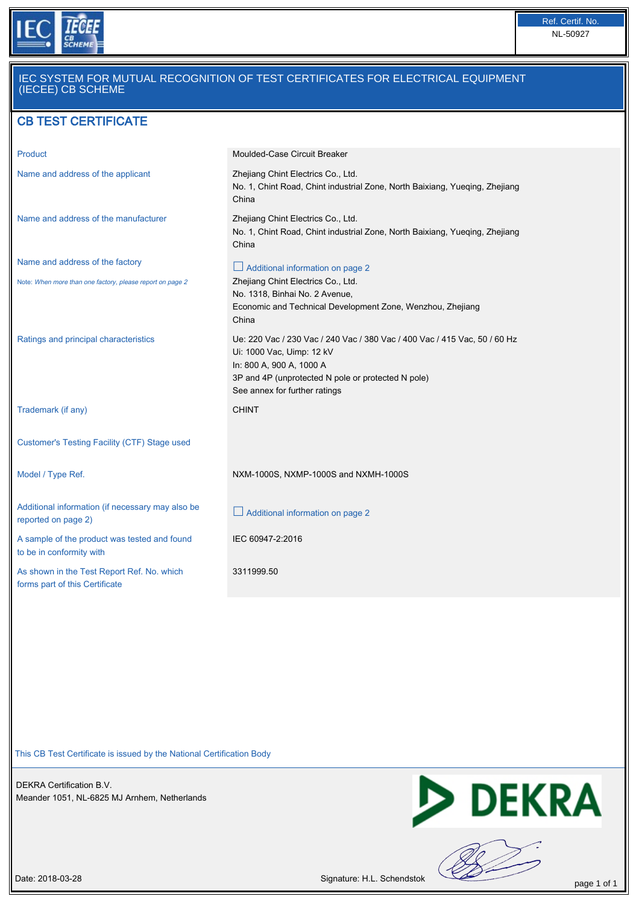

## IEC SYSTEM FOR MUTUAL RECOGNITION OF TEST CERTIFICATES FOR ELECTRICAL EQUIPMENT (IECEE) CB SCHEME

## CB TEST CERTIFICATE

| Product                                                                      | Moulded-Case Circuit Breaker                                                                                               |
|------------------------------------------------------------------------------|----------------------------------------------------------------------------------------------------------------------------|
| Name and address of the applicant                                            | Zhejiang Chint Electrics Co., Ltd.<br>No. 1, Chint Road, Chint industrial Zone, North Baixiang, Yueqing, Zhejiang<br>China |
| Name and address of the manufacturer                                         | Zhejiang Chint Electrics Co., Ltd.<br>No. 1, Chint Road, Chint industrial Zone, North Baixiang, Yueging, Zhejiang<br>China |
| Name and address of the factory                                              | Additional information on page 2                                                                                           |
| Note: When more than one factory, please report on page 2                    | Zhejiang Chint Electrics Co., Ltd.<br>No. 1318, Binhai No. 2 Avenue,                                                       |
|                                                                              | Economic and Technical Development Zone, Wenzhou, Zhejiang<br>China                                                        |
| Ratings and principal characteristics                                        | Ue: 220 Vac / 230 Vac / 240 Vac / 380 Vac / 400 Vac / 415 Vac, 50 / 60 Hz<br>Ui: 1000 Vac, Uimp: 12 kV                     |
|                                                                              | In: 800 A, 900 A, 1000 A                                                                                                   |
|                                                                              | 3P and 4P (unprotected N pole or protected N pole)<br>See annex for further ratings                                        |
| Trademark (if any)                                                           | <b>CHINT</b>                                                                                                               |
| Customer's Testing Facility (CTF) Stage used                                 |                                                                                                                            |
| Model / Type Ref.                                                            | NXM-1000S, NXMP-1000S and NXMH-1000S                                                                                       |
| Additional information (if necessary may also be<br>reported on page 2)      | $\Box$ Additional information on page 2                                                                                    |
| A sample of the product was tested and found<br>to be in conformity with     | IEC 60947-2:2016                                                                                                           |
| As shown in the Test Report Ref. No. which<br>forms part of this Certificate | 3311999.50                                                                                                                 |

This CB Test Certificate is issued by the National Certification Body

DEKRA Certification B.V. Meander 1051, NL-6825 MJ Arnhem, Netherlands